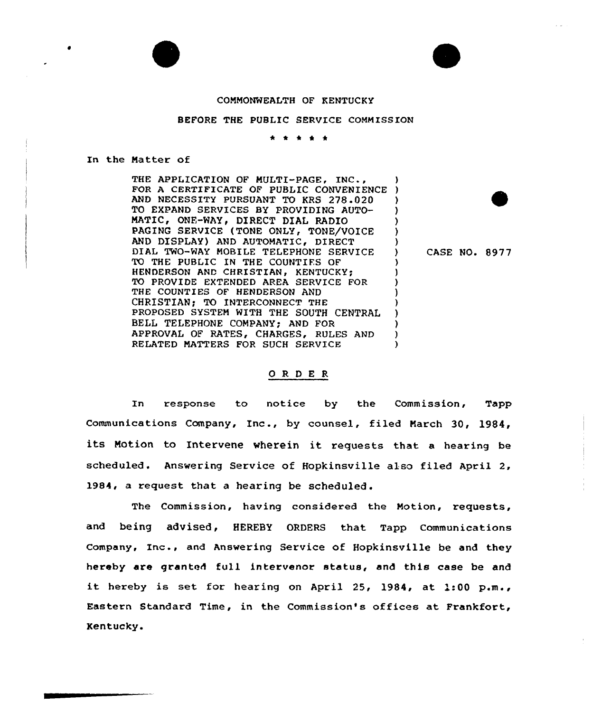# CONMONWEALTH OF KENTUCKY

## BEFORE THE PUBLIC SERVICE COMMISSION

\* \* \* \* \*

## In the Natter of

THE APPLICATION OF MULTI-PAGE, INC., FOR <sup>A</sup> CERTIFICATE OF PUBLIC CONVENIENCE ) AND NECESSITY PURSUANT TO KRS 278.020 )<br>TO EXPAND SERVICES BY PROVIDING AUTO- ) TO EXPAND SERVICES BY PROVIDING AUTO-MATIC, ONE-WAY, DIRECT DIAL RADIO PAGING SERVICE (TONE ONLY, TONE/VOICE AND DISPLAY) AND AUTOMATIC, DIRECT DIAL TWO-WAY MOBILE TELEPHONE SERVICE ) TO THE PUBLIC IN THE COUNTIES OF HENDERSON AND CHRISTIAN, KENTUCKY; TO PROVIDE EXTENDED AREA SERVICE FOR THE COUNTIES OF HENDERSON AND CHRISTIAN; TO INTERCONNECT THE PROPOSED SYSTEM WITH THE SOUTH CENTRAL ) BELL TELEPHONE COMPANY; AND FOR ) APPROVAL OF RATES, CHARGES, RULES AND )<br>RELATED MATTERS FOR SUCH SERVICE RELATED MATTERS FOR SUCH SERVICE

CASE NO. 8977

## ORDER

In response to notice by the Commission, Tapp Communications Company, Inc., by counsel, filed March 30, 1984, its Motion to Intervene wherein it requests that <sup>a</sup> hearing be scheduled. Answering Service of Hopkinsville also filed April 2, l984, a request that a hearing be scheduled.

The Commission, having considered the Motion, requests, and being advised, HEREBY ORDERS that Tapp Communications company, Inc., and Answering Service of Hopkinsville be and they hereby are granted full intervenor status, and this case be and it hereby is set for hearing on April 25, 1984, at 1:00 p.m., Eastern Standard Time, in the Commission's offices at Frankfort, Kentucky.